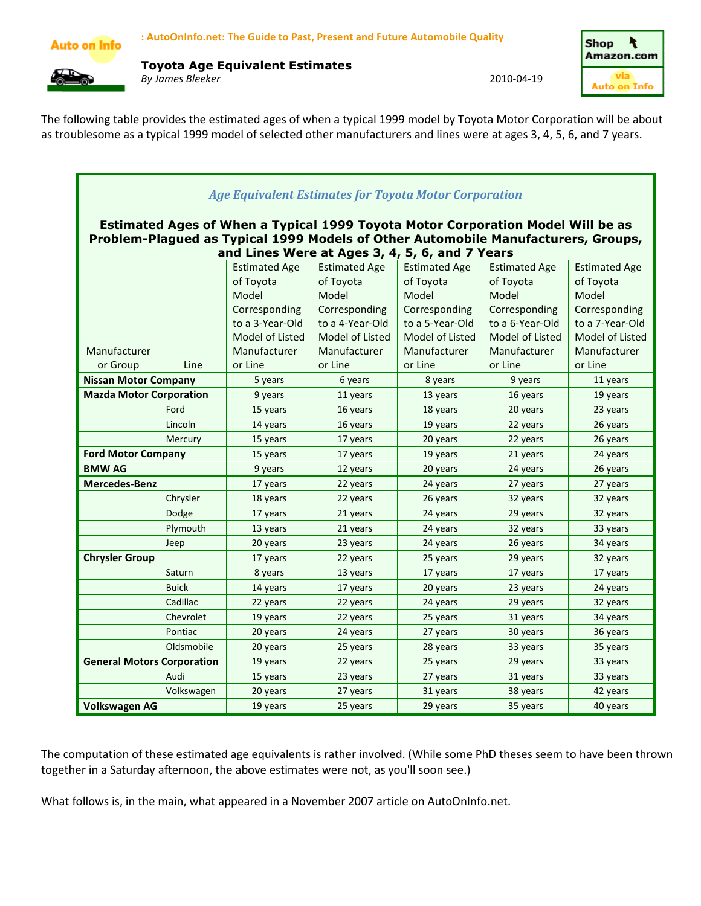

Toyota Age Equivalent Estimates By James Bleeker 2010-04-19



The following table provides the estimated ages of when a typical 1999 model by Toyota Motor Corporation will be about as troublesome as a typical 1999 model of selected other manufacturers and lines were at ages 3, 4, 5, 6, and 7 years.

| <b>Age Equivalent Estimates for Toyota Motor Corporation</b>                                                                                                                                                           |              |                      |                      |                      |                      |                      |  |  |  |  |  |  |
|------------------------------------------------------------------------------------------------------------------------------------------------------------------------------------------------------------------------|--------------|----------------------|----------------------|----------------------|----------------------|----------------------|--|--|--|--|--|--|
| Estimated Ages of When a Typical 1999 Toyota Motor Corporation Model Will be as<br>Problem-Plagued as Typical 1999 Models of Other Automobile Manufacturers, Groups,<br>and Lines Were at Ages 3, 4, 5, 6, and 7 Years |              |                      |                      |                      |                      |                      |  |  |  |  |  |  |
|                                                                                                                                                                                                                        |              | <b>Estimated Age</b> | <b>Estimated Age</b> | <b>Estimated Age</b> | <b>Estimated Age</b> | <b>Estimated Age</b> |  |  |  |  |  |  |
|                                                                                                                                                                                                                        |              | of Toyota            | of Toyota            | of Toyota            | of Toyota            | of Toyota            |  |  |  |  |  |  |
|                                                                                                                                                                                                                        |              | Model                | Model                | Model                | Model                | Model                |  |  |  |  |  |  |
|                                                                                                                                                                                                                        |              | Corresponding        | Corresponding        | Corresponding        | Corresponding        | Corresponding        |  |  |  |  |  |  |
|                                                                                                                                                                                                                        |              | to a 3-Year-Old      | to a 4-Year-Old      | to a 5-Year-Old      | to a 6-Year-Old      | to a 7-Year-Old      |  |  |  |  |  |  |
|                                                                                                                                                                                                                        |              | Model of Listed      | Model of Listed      | Model of Listed      | Model of Listed      | Model of Listed      |  |  |  |  |  |  |
| Manufacturer                                                                                                                                                                                                           |              | Manufacturer         | Manufacturer         | Manufacturer         | Manufacturer         | Manufacturer         |  |  |  |  |  |  |
| or Group                                                                                                                                                                                                               | Line         | or Line              | or Line              | or Line              | or Line              | or Line              |  |  |  |  |  |  |
| <b>Nissan Motor Company</b>                                                                                                                                                                                            |              | 5 years              | 6 years              | 8 years              | 9 years              | 11 years             |  |  |  |  |  |  |
| <b>Mazda Motor Corporation</b>                                                                                                                                                                                         |              | 9 years              | 11 years             | 13 years             | 16 years             | 19 years             |  |  |  |  |  |  |
|                                                                                                                                                                                                                        | Ford         | 15 years             | 16 years             | 18 years             | 20 years             | 23 years             |  |  |  |  |  |  |
|                                                                                                                                                                                                                        | Lincoln      | 14 years             | 16 years             | 19 years             | 22 years             | 26 years             |  |  |  |  |  |  |
|                                                                                                                                                                                                                        | Mercury      | 15 years             | 17 years             | 20 years             | 22 years             | 26 years             |  |  |  |  |  |  |
| <b>Ford Motor Company</b>                                                                                                                                                                                              |              | 15 years             | 17 years             | 19 years             | 21 years             | 24 years             |  |  |  |  |  |  |
| <b>BMW AG</b>                                                                                                                                                                                                          |              | 9 years              | 12 years             | 20 years             | 24 years             | 26 years             |  |  |  |  |  |  |
| <b>Mercedes-Benz</b>                                                                                                                                                                                                   |              | 17 years             | 22 years             | 24 years<br>27 years |                      | 27 years             |  |  |  |  |  |  |
|                                                                                                                                                                                                                        | Chrysler     | 18 years             | 22 years             | 26 years             | 32 years             | 32 years             |  |  |  |  |  |  |
|                                                                                                                                                                                                                        | Dodge        | 17 years             | 21 years             | 24 years             | 29 years             | 32 years             |  |  |  |  |  |  |
|                                                                                                                                                                                                                        | Plymouth     | 13 years             | 21 years             | 24 years             | 32 years             | 33 years             |  |  |  |  |  |  |
|                                                                                                                                                                                                                        | Jeep         | 20 years             | 23 years             | 24 years             | 26 years             | 34 years             |  |  |  |  |  |  |
| <b>Chrysler Group</b>                                                                                                                                                                                                  |              | 17 years             | 22 years             | 25 years             | 29 years             | 32 years             |  |  |  |  |  |  |
|                                                                                                                                                                                                                        | Saturn       | 8 years              | 13 years             | 17 years             | 17 years             | 17 years             |  |  |  |  |  |  |
|                                                                                                                                                                                                                        | <b>Buick</b> | 14 years             | 17 years             | 20 years             | 23 years             | 24 years             |  |  |  |  |  |  |
|                                                                                                                                                                                                                        | Cadillac     | 22 years             | 22 years             | 24 years             | 29 years             | 32 years             |  |  |  |  |  |  |
|                                                                                                                                                                                                                        | Chevrolet    | 19 years             | 22 years             | 25 years             | 31 years             | 34 years             |  |  |  |  |  |  |
|                                                                                                                                                                                                                        | Pontiac      | 20 years             | 24 years             | 27 years             | 30 years             | 36 years             |  |  |  |  |  |  |
|                                                                                                                                                                                                                        | Oldsmobile   | 20 years             | 25 years             | 28 years             | 33 years             | 35 years             |  |  |  |  |  |  |
| <b>General Motors Corporation</b>                                                                                                                                                                                      |              | 19 years             | 22 years             | 25 years             | 29 years             | 33 years             |  |  |  |  |  |  |
|                                                                                                                                                                                                                        | Audi         | 15 years             | 23 years             | 27 years             | 31 years             | 33 years             |  |  |  |  |  |  |
|                                                                                                                                                                                                                        | Volkswagen   | 20 years             | 27 years             | 31 years             | 38 years             | 42 years             |  |  |  |  |  |  |
| <b>Volkswagen AG</b>                                                                                                                                                                                                   |              | 19 years             | 25 years             | 29 years             | 35 years             | 40 years             |  |  |  |  |  |  |

The computation of these estimated age equivalents is rather involved. (While some PhD theses seem to have been thrown together in a Saturday afternoon, the above estimates were not, as you'll soon see.)

What follows is, in the main, what appeared in a November 2007 article on AutoOnInfo.net.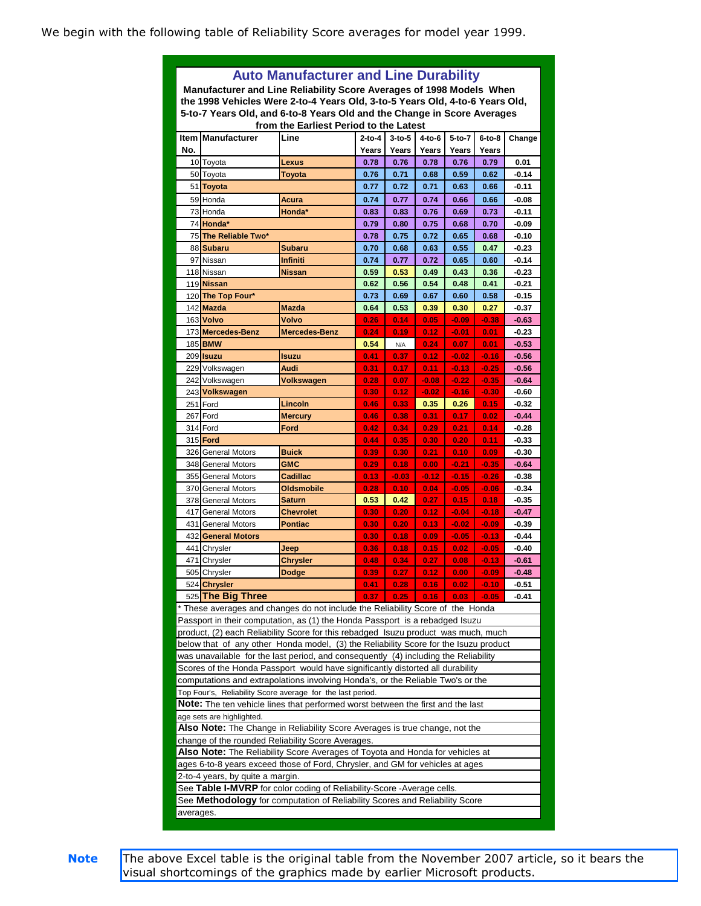We begin with the following table of Reliability Score averages for model year 1999.

|                                                                                 | <b>Auto Manufacturer and Line Durability</b>                                                                                                                       |                   |              |          |          |          |          |         |  |  |  |
|---------------------------------------------------------------------------------|--------------------------------------------------------------------------------------------------------------------------------------------------------------------|-------------------|--------------|----------|----------|----------|----------|---------|--|--|--|
| Manufacturer and Line Reliability Score Averages of 1998 Models When            |                                                                                                                                                                    |                   |              |          |          |          |          |         |  |  |  |
|                                                                                 | the 1998 Vehicles Were 2-to-4 Years Old, 3-to-5 Years Old, 4-to-6 Years Old,                                                                                       |                   |              |          |          |          |          |         |  |  |  |
| 5-to-7 Years Old, and 6-to-8 Years Old and the Change in Score Averages         |                                                                                                                                                                    |                   |              |          |          |          |          |         |  |  |  |
| from the Earliest Period to the Latest                                          |                                                                                                                                                                    |                   |              |          |          |          |          |         |  |  |  |
| <b>Item</b>                                                                     | <b>Manufacturer</b>                                                                                                                                                | Line              | $2-to-4$     | $3-to-5$ | $4-to-6$ | $5-to-7$ | $6-to-8$ | Change  |  |  |  |
| No.                                                                             |                                                                                                                                                                    |                   | Years        | Years    | Years    | Years    | Years    |         |  |  |  |
|                                                                                 | 10 Toyota                                                                                                                                                          | Lexus             | 0.78         | 0.76     | 0.78     | 0.76     | 0.79     | 0.01    |  |  |  |
|                                                                                 | 50 Toyota                                                                                                                                                          | Toyota            | 0.76         | 0.71     | 0.68     | 0.59     | 0.62     | $-0.14$ |  |  |  |
|                                                                                 | 51 Toyota                                                                                                                                                          |                   | 0.77         | 0.72     | 0.71     | 0.63     | 0.66     | $-0.11$ |  |  |  |
|                                                                                 | 59 Honda                                                                                                                                                           | Acura             | 0.74         | 0.77     | 0.74     | 0.66     | 0.66     | $-0.08$ |  |  |  |
|                                                                                 | 73 Honda                                                                                                                                                           | Honda*            | 0.83         | 0.83     | 0.76     | 0.69     | 0.73     | -0.11   |  |  |  |
|                                                                                 | 74 Honda*                                                                                                                                                          |                   | 0.79         | 0.80     | 0.75     | 0.68     | 0.70     | $-0.09$ |  |  |  |
|                                                                                 | 75 The Reliable Two*                                                                                                                                               |                   | 0.78         | 0.75     | 0.72     | 0.65     | 0.68     | $-0.10$ |  |  |  |
|                                                                                 | 88 Subaru                                                                                                                                                          | Subaru            | 0.70         | 0.68     | 0.63     | 0.55     | 0.47     | $-0.23$ |  |  |  |
|                                                                                 | 97 Nissan                                                                                                                                                          | Infiniti          | 0.74         | 0.77     | 0.72     | 0.65     | 0.60     | -0.14   |  |  |  |
|                                                                                 | 118 Nissan                                                                                                                                                         | Nissan            | 0.59         | 0.53     | 0.49     | 0.43     | 0.36     | $-0.23$ |  |  |  |
|                                                                                 | 119 Nissan                                                                                                                                                         |                   | 0.62         | 0.56     | 0.54     | 0.48     | 0.41     | $-0.21$ |  |  |  |
|                                                                                 | 120 The Top Four*                                                                                                                                                  |                   | 0.73         | 0.69     | 0.67     | 0.60     | 0.58     | $-0.15$ |  |  |  |
|                                                                                 | 142 Mazda                                                                                                                                                          | <b>Mazda</b>      | 0.64         | 0.53     | 0.39     | 0.30     | 0.27     | $-0.37$ |  |  |  |
|                                                                                 | 163 Volvo                                                                                                                                                          | Volvo             | 0.26         | 0.14     | 0.05     | $-0.09$  | $-0.38$  | $-0.63$ |  |  |  |
|                                                                                 | 173 Mercedes-Benz                                                                                                                                                  | Mercedes-Benz     | 0.24         | 0.19     | 0.12     | $-0.01$  | 0.01     | $-0.23$ |  |  |  |
|                                                                                 | 185 <b>BMW</b>                                                                                                                                                     |                   | 0.54         | N/A      | 0.24     | 0.07     | 0.01     | $-0.53$ |  |  |  |
|                                                                                 | 209 Isuzu                                                                                                                                                          | <b>Isuzu</b>      | 0.41         | 0.37     | 0.12     | $-0.02$  | $-0.16$  | $-0.56$ |  |  |  |
|                                                                                 | 229 Volkswagen                                                                                                                                                     | Audi              | 0.31         | 0.17     | 0.11     | $-0.13$  | -0.25    | $-0.56$ |  |  |  |
|                                                                                 | 242 Volkswagen                                                                                                                                                     | Volkswagen        | 0.28         | 0.07     | $-0.08$  | $-0.22$  | $-0.35$  | $-0.64$ |  |  |  |
|                                                                                 | 243 Volkswagen                                                                                                                                                     |                   | 0.30         | 0.12     | $-0.02$  | $-0.16$  | $-0.30$  | $-0.60$ |  |  |  |
|                                                                                 | 251 Ford<br>Lincoln                                                                                                                                                |                   |              | 0.33     | 0.35     | 0.26     | 0.15     | $-0.32$ |  |  |  |
|                                                                                 | 267 Ford                                                                                                                                                           | <b>Mercury</b>    | 0.46<br>0.46 | 0.38     | 0.31     | 0.17     | 0.02     | $-0.44$ |  |  |  |
|                                                                                 | 314 Ford                                                                                                                                                           | Ford              | 0.42         | 0.34     | 0.29     | 0.21     | 0.14     | $-0.28$ |  |  |  |
|                                                                                 | 315 <b>Ford</b>                                                                                                                                                    |                   | 0.44         | 0.35     | 0.30     | 0.20     | 0.11     | $-0.33$ |  |  |  |
|                                                                                 | 326 General Motors                                                                                                                                                 | <b>Buick</b>      | 0.39         | 0.30     | 0.21     | 0.10     | 0.09     | $-0.30$ |  |  |  |
|                                                                                 | 348 General Motors                                                                                                                                                 | <b>GMC</b>        | 0.29         | 0.18     | 0.00     | $-0.21$  | $-0.35$  | $-0.64$ |  |  |  |
|                                                                                 | 355 General Motors                                                                                                                                                 | Cadillac          | 0.13         | $-0.03$  | $-0.12$  | $-0.15$  | $-0.26$  | $-0.38$ |  |  |  |
|                                                                                 | 370 General Motors                                                                                                                                                 | <b>Oldsmobile</b> | 0.28         | 0.10     | 0.04     | $-0.05$  | $-0.06$  | $-0.34$ |  |  |  |
|                                                                                 | 378 General Motors                                                                                                                                                 | <b>Saturn</b>     | 0.53         | 0.42     | 0.27     | 0.15     | 0.18     | $-0.35$ |  |  |  |
|                                                                                 | 417 General Motors                                                                                                                                                 | <b>Chevrolet</b>  | 0.30         | 0.20     | 0.12     | -0.04    | -0.18    | $-0.47$ |  |  |  |
|                                                                                 | 431 General Motors                                                                                                                                                 | <b>Pontiac</b>    | 0.30         | 0.20     | 0.13     | $-0.02$  | $-0.09$  | $-0.39$ |  |  |  |
|                                                                                 | 432 General Motors                                                                                                                                                 |                   | 0.30         | 0.18     | 0.09     | $-0.05$  | $-0.13$  | $-0.44$ |  |  |  |
|                                                                                 | 441 Chrysler                                                                                                                                                       | Jeep              | 0.36         | 0.18     | 0.15     | 0.02     | $-0.05$  | $-0.40$ |  |  |  |
|                                                                                 | 471 Chrysler                                                                                                                                                       | Chrysler          | 0.48         | 0.34     | 0.27     | 0.08     | $-0.13$  | $-0.61$ |  |  |  |
|                                                                                 | 505 Chrysler                                                                                                                                                       | <b>Dodge</b>      | 0.39         | 0.27     | 0.12     | 0.00     | $-0.09$  | $-0.48$ |  |  |  |
|                                                                                 | 524 Chrysler                                                                                                                                                       |                   | 0.41         | 0.28     | 0.16     | 0.02     | $-0.10$  | $-0.51$ |  |  |  |
|                                                                                 | 525 The Big Three                                                                                                                                                  |                   | 0.37         | 0.25     | 0.16     | 0.03     | $-0.05$  | -0.41   |  |  |  |
|                                                                                 | * These averages and changes do not include the Reliability Score of the Honda                                                                                     |                   |              |          |          |          |          |         |  |  |  |
|                                                                                 |                                                                                                                                                                    |                   |              |          |          |          |          |         |  |  |  |
|                                                                                 | Passport in their computation, as (1) the Honda Passport is a rebadged Isuzu<br>product, (2) each Reliability Score for this rebadged Isuzu product was much, much |                   |              |          |          |          |          |         |  |  |  |
|                                                                                 | below that of any other Honda model, (3) the Reliability Score for the Isuzu product                                                                               |                   |              |          |          |          |          |         |  |  |  |
|                                                                                 | was unavailable for the last period, and consequently (4) including the Reliability                                                                                |                   |              |          |          |          |          |         |  |  |  |
|                                                                                 | Scores of the Honda Passport would have significantly distorted all durability                                                                                     |                   |              |          |          |          |          |         |  |  |  |
|                                                                                 | computations and extrapolations involving Honda's, or the Reliable Two's or the                                                                                    |                   |              |          |          |          |          |         |  |  |  |
|                                                                                 | Top Four's, Reliability Score average for the last period.                                                                                                         |                   |              |          |          |          |          |         |  |  |  |
| Note: The ten vehicle lines that performed worst between the first and the last |                                                                                                                                                                    |                   |              |          |          |          |          |         |  |  |  |
|                                                                                 | age sets are highlighted.                                                                                                                                          |                   |              |          |          |          |          |         |  |  |  |
|                                                                                 | Also Note: The Change in Reliability Score Averages is true change, not the                                                                                        |                   |              |          |          |          |          |         |  |  |  |
|                                                                                 | change of the rounded Reliability Score Averages.                                                                                                                  |                   |              |          |          |          |          |         |  |  |  |
|                                                                                 | Also Note: The Reliability Score Averages of Toyota and Honda for vehicles at                                                                                      |                   |              |          |          |          |          |         |  |  |  |
|                                                                                 | ages 6-to-8 years exceed those of Ford, Chrysler, and GM for vehicles at ages                                                                                      |                   |              |          |          |          |          |         |  |  |  |
|                                                                                 | 2-to-4 years, by quite a margin.                                                                                                                                   |                   |              |          |          |          |          |         |  |  |  |
|                                                                                 | See Table I-MVRP for color coding of Reliability-Score -Average cells.                                                                                             |                   |              |          |          |          |          |         |  |  |  |
|                                                                                 |                                                                                                                                                                    |                   |              |          |          |          |          |         |  |  |  |
|                                                                                 | See Methodology for computation of Reliability Scores and Reliability Score<br>averages.                                                                           |                   |              |          |          |          |          |         |  |  |  |

**Note** The above Excel table is the original table from the November 2007 article, so it bears the visual shortcomings of the graphics made by earlier Microsoft products.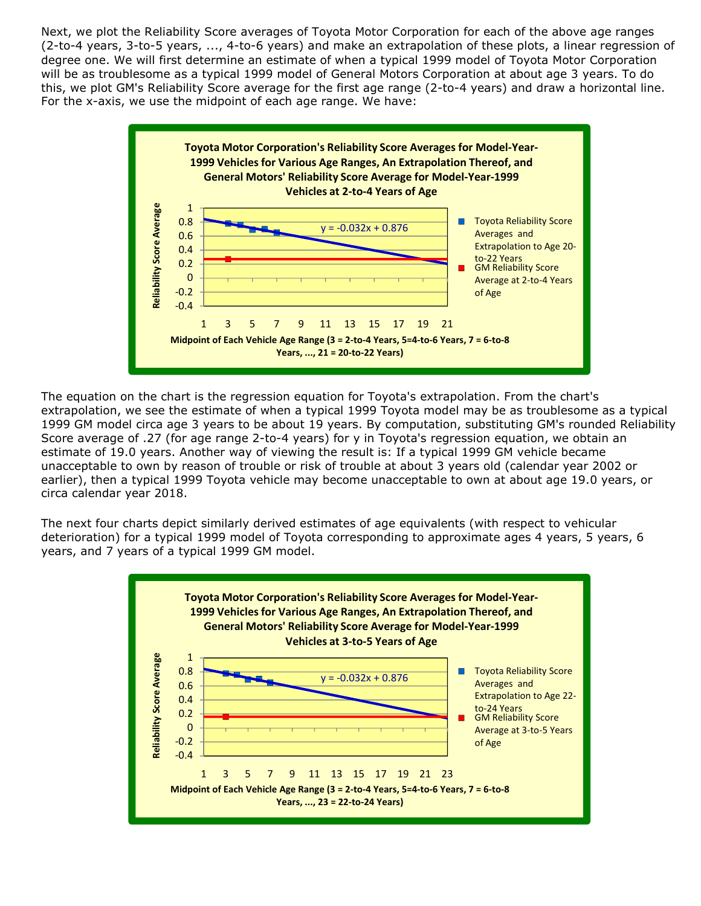Next, we plot the Reliability Score averages of Toyota Motor Corporation for each of the above age ranges (2-to-4 years, 3-to-5 years, ..., 4-to-6 years) and make an extrapolation of these plots, a linear regression of degree one. We will first determine an estimate of when a typical 1999 model of Toyota Motor Corporation will be as troublesome as a typical 1999 model of General Motors Corporation at about age 3 years. To do this, we plot GM's Reliability Score average for the first age range (2-to-4 years) and draw a horizontal line. For the x-axis, we use the midpoint of each age range. We have:



The equation on the chart is the regression equation for Toyota's extrapolation. From the chart's extrapolation, we see the estimate of when a typical 1999 Toyota model may be as troublesome as a typical 1999 GM model circa age 3 years to be about 19 years. By computation, substituting GM's rounded Reliability Score average of .27 (for age range 2-to-4 years) for y in Toyota's regression equation, we obtain an estimate of 19.0 years. Another way of viewing the result is: If a typical 1999 GM vehicle became unacceptable to own by reason of trouble or risk of trouble at about 3 years old (calendar year 2002 or earlier), then a typical 1999 Toyota vehicle may become unacceptable to own at about age 19.0 years, or circa calendar year 2018.

The next four charts depict similarly derived estimates of age equivalents (with respect to vehicular deterioration) for a typical 1999 model of Toyota corresponding to approximate ages 4 years, 5 years, 6 years, and 7 years of a typical 1999 GM model.

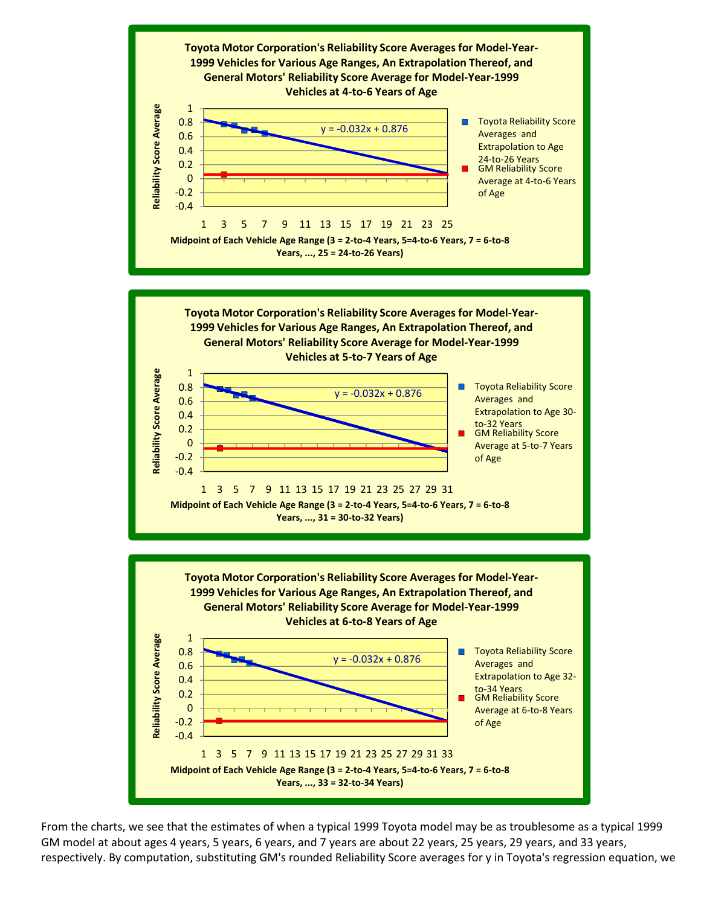

From the charts, we see that the estimates of when a typical 1999 Toyota model may be as troublesome as a typical 1999 GM model at about ages 4 years, 5 years, 6 years, and 7 years are about 22 years, 25 years, 29 years, and 33 years, respectively. By computation, substituting GM's rounded Reliability Score averages for y in Toyota's regression equation, we